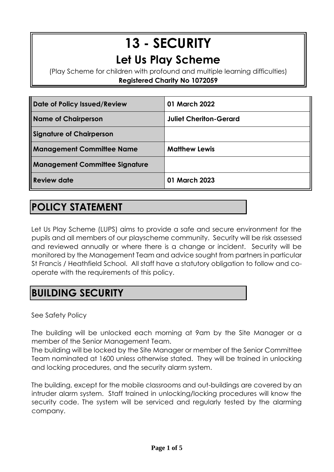# **13 - SECURITY Let Us Play Scheme**

(Play Scheme for children with profound and multiple learning difficulties) **Registered Charity No 1072059**

| Date of Policy Issued/Review          | 01 March 2022                 |
|---------------------------------------|-------------------------------|
| <b>Name of Chairperson</b>            | <b>Juliet Cheriton-Gerard</b> |
| <b>Signature of Chairperson</b>       |                               |
| <b>Management Committee Name</b>      | <b>Matthew Lewis</b>          |
| <b>Management Committee Signature</b> |                               |
| Review date                           | 01 March 2023                 |

# **POLICY STATEMENT**

Let Us Play Scheme (LUPS) aims to provide a safe and secure environment for the pupils and all members of our playscheme community. Security will be risk assessed and reviewed annually or where there is a change or incident. Security will be monitored by the Management Team and advice sought from partners in particular St Francis / Heathfield School. All staff have a statutory obligation to follow and cooperate with the requirements of this policy.

# **BUILDING SECURITY**

See Safety Policy

The building will be unlocked each morning at 9am by the Site Manager or a member of the Senior Management Team.

The building will be locked by the Site Manager or member of the Senior Committee Team nominated at 1600 unless otherwise stated. They will be trained in unlocking and locking procedures, and the security alarm system.

The building, except for the mobile classrooms and out-buildings are covered by an intruder alarm system. Staff trained in unlocking/locking procedures will know the security code. The system will be serviced and regularly tested by the alarming company.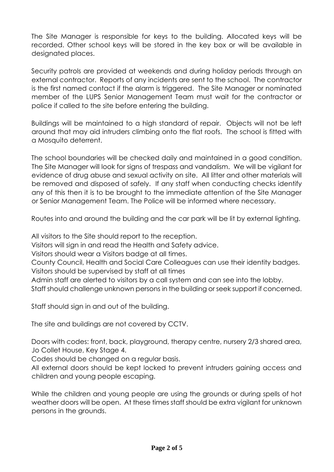The Site Manager is responsible for keys to the building. Allocated keys will be recorded. Other school keys will be stored in the key box or will be available in designated places.

Security patrols are provided at weekends and during holiday periods through an external contractor. Reports of any incidents are sent to the school. The contractor is the first named contact if the alarm is triggered. The Site Manager or nominated member of the LUPS Senior Management Team must wait for the contractor or police if called to the site before entering the building.

Buildings will be maintained to a high standard of repair. Objects will not be left around that may aid intruders climbing onto the flat roofs. The school is fitted with a Mosquito deterrent.

The school boundaries will be checked daily and maintained in a good condition. The Site Manager will look for signs of trespass and vandalism. We will be vigilant for evidence of drug abuse and sexual activity on site. All litter and other materials will be removed and disposed of safely. If any staff when conducting checks identify any of this then it is to be brought to the immediate attention of the Site Manager or Senior Management Team. The Police will be informed where necessary.

Routes into and around the building and the car park will be lit by external lighting.

All visitors to the Site should report to the reception.

Visitors will sign in and read the Health and Safety advice.

Visitors should wear a Visitors badge at all times.

County Council, Health and Social Care Colleagues can use their identity badges. Visitors should be supervised by staff at all times

Admin staff are alerted to visitors by a call system and can see into the lobby.

Staff should challenge unknown persons in the building or seek support if concerned.

Staff should sign in and out of the building.

The site and buildings are not covered by CCTV.

Doors with codes: front, back, playground, therapy centre, nursery 2/3 shared area, Jo Collet House, Key Stage 4.

Codes should be changed on a regular basis.

All external doors should be kept locked to prevent intruders gaining access and children and young people escaping.

While the children and young people are using the grounds or during spells of hot weather doors will be open. At these times staff should be extra vigilant for unknown persons in the grounds.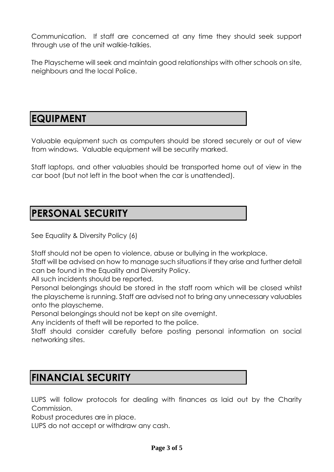Communication. If staff are concerned at any time they should seek support through use of the unit walkie-talkies.

The Playscheme will seek and maintain good relationships with other schools on site, neighbours and the local Police.

#### **EQUIPMENT**

Valuable equipment such as computers should be stored securely or out of view from windows. Valuable equipment will be security marked.

Staff laptops, and other valuables should be transported home out of view in the car boot (but not left in the boot when the car is unattended).

#### **PERSONAL SECURITY**

See Equality & Diversity Policy (6)

Staff should not be open to violence, abuse or bullying in the workplace.

Staff will be advised on how to manage such situations if they arise and further detail can be found in the Equality and Diversity Policy.

All such incidents should be reported.

Personal belongings should be stored in the staff room which will be closed whilst the playscheme is running. Staff are advised not to bring any unnecessary valuables onto the playscheme.

Personal belongings should not be kept on site overnight.

Any incidents of theft will be reported to the police.

Staff should consider carefully before posting personal information on social networking sites.

## **FINANCIAL SECURITY**

LUPS will follow protocols for dealing with finances as laid out by the Charity Commission.

Robust procedures are in place.

LUPS do not accept or withdraw any cash.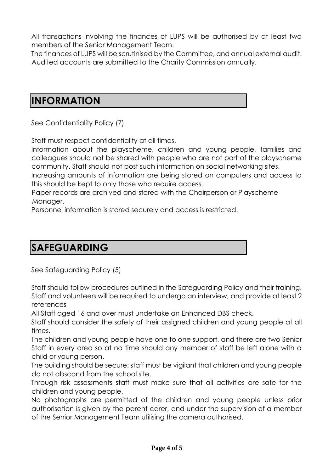All transactions involving the finances of LUPS will be authorised by at least two members of the Senior Management Team.

The finances of LUPS will be scrutinised by the Committee, and annual external audit. Audited accounts are submitted to the Charity Commission annually.

#### **INFORMATION**

See Confidentiality Policy (7)

Staff must respect confidentiality at all times.

Information about the playscheme, children and young people, families and colleagues should not be shared with people who are not part of the playscheme community. Staff should not post such information on social networking sites.

Increasing amounts of information are being stored on computers and access to this should be kept to only those who require access.

Paper records are archived and stored with the Chairperson or Playscheme Manager.

Personnel information is stored securely and access is restricted.

# **SAFEGUARDING**

See Safeguarding Policy (5)

Staff should follow procedures outlined in the Safeguarding Policy and their training. Staff and volunteers will be required to undergo an interview, and provide at least 2 references

All Staff aged 16 and over must undertake an Enhanced DBS check.

Staff should consider the safety of their assigned children and young people at all times.

The children and young people have one to one support, and there are two Senior Staff in every area so at no time should any member of staff be left alone with a child or young person.

The building should be secure: staff must be vigilant that children and young people do not abscond from the school site.

Through risk assessments staff must make sure that all activities are safe for the children and young people.

No photographs are permitted of the children and young people unless prior authorisation is given by the parent carer, and under the supervision of a member of the Senior Management Team utilising the camera authorised.